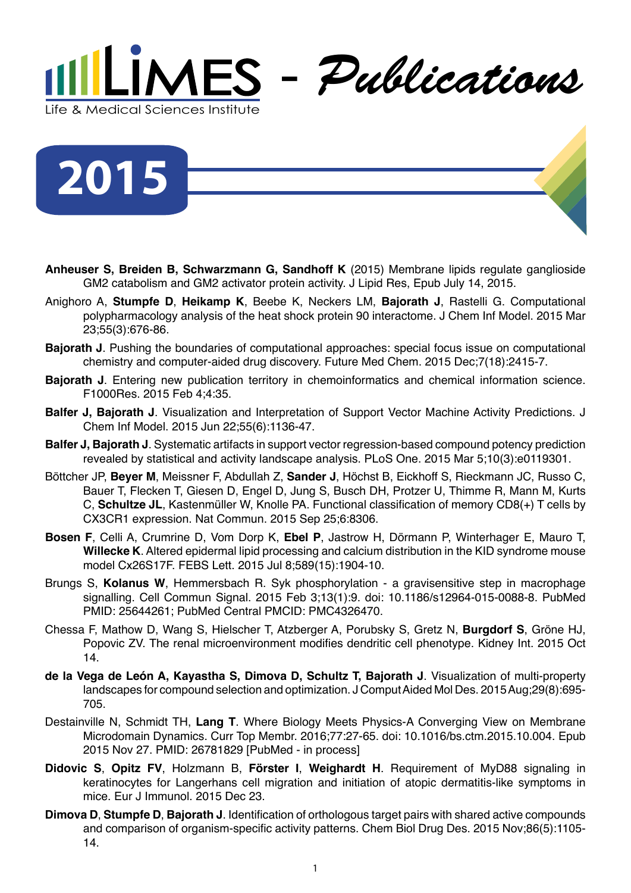

**2015**

- **Anheuser S, Breiden B, Schwarzmann G, Sandhoff K** (2015) Membrane lipids regulate ganglioside GM2 catabolism and GM2 activator protein activity. J Lipid Res, Epub July 14, 2015.
- Anighoro A, **Stumpfe D**, **Heikamp K**, Beebe K, Neckers LM, **Bajorath J**, Rastelli G. Computational polypharmacology analysis of the heat shock protein 90 interactome. J Chem Inf Model. 2015 Mar 23;55(3):676-86.
- **Bajorath J**. Pushing the boundaries of computational approaches: special focus issue on computational chemistry and computer-aided drug discovery. Future Med Chem. 2015 Dec;7(18):2415-7.
- **Bajorath J**. Entering new publication territory in chemoinformatics and chemical information science. F1000Res. 2015 Feb 4;4:35.
- **Balfer J, Bajorath J**. Visualization and Interpretation of Support Vector Machine Activity Predictions. J Chem Inf Model. 2015 Jun 22;55(6):1136-47.
- **Balfer J, Bajorath J**. Systematic artifacts in support vector regression-based compound potency prediction revealed by statistical and activity landscape analysis. PLoS One. 2015 Mar 5;10(3):e0119301.
- Böttcher JP, **Beyer M**, Meissner F, Abdullah Z, **Sander J**, Höchst B, Eickhoff S, Rieckmann JC, Russo C, Bauer T, Flecken T, Giesen D, Engel D, Jung S, Busch DH, Protzer U, Thimme R, Mann M, Kurts C, **Schultze JL**, Kastenmüller W, Knolle PA. Functional classification of memory CD8(+) T cells by CX3CR1 expression. Nat Commun. 2015 Sep 25;6:8306.
- **Bosen F**, Celli A, Crumrine D, Vom Dorp K, **Ebel P**, Jastrow H, Dörmann P, Winterhager E, Mauro T, **Willecke K**. Altered epidermal lipid processing and calcium distribution in the KID syndrome mouse model Cx26S17F. FEBS Lett. 2015 Jul 8;589(15):1904-10.
- Brungs S, **Kolanus W**, Hemmersbach R. Syk phosphorylation a gravisensitive step in macrophage signalling. Cell Commun Signal. 2015 Feb 3;13(1):9. doi: 10.1186/s12964-015-0088-8. PubMed PMID: 25644261; PubMed Central PMCID: PMC4326470.
- Chessa F, Mathow D, Wang S, Hielscher T, Atzberger A, Porubsky S, Gretz N, **Burgdorf S**, Gröne HJ, Popovic ZV. The renal microenvironment modifies dendritic cell phenotype. Kidney Int. 2015 Oct 14.
- **de la Vega de León A, Kayastha S, Dimova D, Schultz T, Bajorath J**. Visualization of multi-property landscapes for compound selection and optimization. J Comput Aided Mol Des. 2015 Aug;29(8):695- 705.
- Destainville N, Schmidt TH, **Lang T**. Where Biology Meets Physics-A Converging View on Membrane Microdomain Dynamics. Curr Top Membr. 2016;77:27-65. doi: 10.1016/bs.ctm.2015.10.004. Epub 2015 Nov 27. PMID: 26781829 [PubMed - in process]
- **Didovic S**, **Opitz FV**, Holzmann B, **Förster I**, **Weighardt H**. Requirement of MyD88 signaling in keratinocytes for Langerhans cell migration and initiation of atopic dermatitis-like symptoms in mice. Eur J Immunol. 2015 Dec 23.
- **Dimova D**, **Stumpfe D**, **Bajorath J**. Identification of orthologous target pairs with shared active compounds and comparison of organism-specific activity patterns. Chem Biol Drug Des. 2015 Nov;86(5):1105- 14.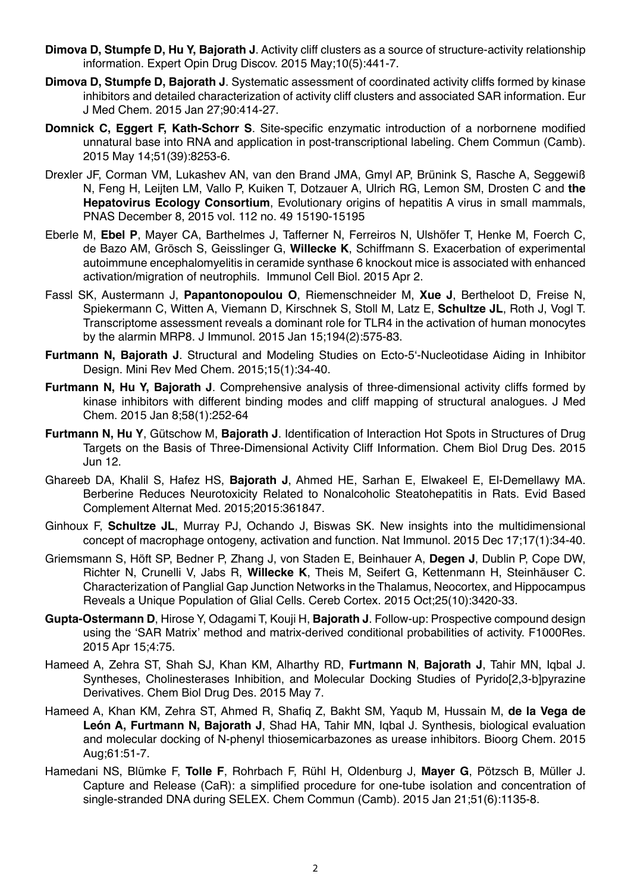- **Dimova D, Stumpfe D, Hu Y, Bajorath J**. Activity cliff clusters as a source of structure-activity relationship information. Expert Opin Drug Discov. 2015 May;10(5):441-7.
- **Dimova D, Stumpfe D, Bajorath J**. Systematic assessment of coordinated activity cliffs formed by kinase inhibitors and detailed characterization of activity cliff clusters and associated SAR information. Eur J Med Chem. 2015 Jan 27;90:414-27.
- **Domnick C, Eggert F, Kath-Schorr S**. Site-specific enzymatic introduction of a norbornene modified unnatural base into RNA and application in post-transcriptional labeling. Chem Commun (Camb). 2015 May 14;51(39):8253-6.
- Drexler JF, Corman VM, Lukashev AN, van den Brand JMA, Gmyl AP, Brünink S, Rasche A, Seggewiß N, Feng H, Leijten LM, Vallo P, Kuiken T, Dotzauer A, Ulrich RG, Lemon SM, Drosten C and **the Hepatovirus Ecology Consortium**, Evolutionary origins of hepatitis A virus in small mammals, PNAS December 8, 2015 vol. 112 no. 49 15190-15195
- Eberle M, **Ebel P**, Mayer CA, Barthelmes J, Tafferner N, Ferreiros N, Ulshöfer T, Henke M, Foerch C, de Bazo AM, Grösch S, Geisslinger G, **Willecke K**, Schiffmann S. Exacerbation of experimental autoimmune encephalomyelitis in ceramide synthase 6 knockout mice is associated with enhanced activation/migration of neutrophils. Immunol Cell Biol. 2015 Apr 2.
- Fassl SK, Austermann J, **Papantonopoulou O**, Riemenschneider M, **Xue J**, Bertheloot D, Freise N, Spiekermann C, Witten A, Viemann D, Kirschnek S, Stoll M, Latz E, **Schultze JL**, Roth J, Vogl T. Transcriptome assessment reveals a dominant role for TLR4 in the activation of human monocytes by the alarmin MRP8. J Immunol. 2015 Jan 15;194(2):575-83.
- **Furtmann N, Bajorath J**. Structural and Modeling Studies on Ecto-5'-Nucleotidase Aiding in Inhibitor Design. Mini Rev Med Chem. 2015;15(1):34-40.
- **Furtmann N, Hu Y, Bajorath J**. Comprehensive analysis of three-dimensional activity cliffs formed by kinase inhibitors with different binding modes and cliff mapping of structural analogues. J Med Chem. 2015 Jan 8;58(1):252-64
- **Furtmann N, Hu Y**, Gütschow M, **Bajorath J**. Identification of Interaction Hot Spots in Structures of Drug Targets on the Basis of Three-Dimensional Activity Cliff Information. Chem Biol Drug Des. 2015 Jun 12.
- Ghareeb DA, Khalil S, Hafez HS, **Bajorath J**, Ahmed HE, Sarhan E, Elwakeel E, El-Demellawy MA. Berberine Reduces Neurotoxicity Related to Nonalcoholic Steatohepatitis in Rats. Evid Based Complement Alternat Med. 2015;2015:361847.
- Ginhoux F, **Schultze JL**, Murray PJ, Ochando J, Biswas SK. New insights into the multidimensional concept of macrophage ontogeny, activation and function. Nat Immunol. 2015 Dec 17;17(1):34-40.
- Griemsmann S, Höft SP, Bedner P, Zhang J, von Staden E, Beinhauer A, **Degen J**, Dublin P, Cope DW, Richter N, Crunelli V, Jabs R, **Willecke K**, Theis M, Seifert G, Kettenmann H, Steinhäuser C. Characterization of Panglial Gap Junction Networks in the Thalamus, Neocortex, and Hippocampus Reveals a Unique Population of Glial Cells. Cereb Cortex. 2015 Oct;25(10):3420-33.
- **Gupta-Ostermann D**, Hirose Y, Odagami T, Kouji H, **Bajorath J**. Follow-up: Prospective compound design using the 'SAR Matrix' method and matrix-derived conditional probabilities of activity. F1000Res. 2015 Apr 15;4:75.
- Hameed A, Zehra ST, Shah SJ, Khan KM, Alharthy RD, **Furtmann N**, **Bajorath J**, Tahir MN, Iqbal J. Syntheses, Cholinesterases Inhibition, and Molecular Docking Studies of Pyrido[2,3-b]pyrazine Derivatives. Chem Biol Drug Des. 2015 May 7.
- Hameed A, Khan KM, Zehra ST, Ahmed R, Shafiq Z, Bakht SM, Yaqub M, Hussain M, **de la Vega de León A, Furtmann N, Bajorath J**, Shad HA, Tahir MN, Iqbal J. Synthesis, biological evaluation and molecular docking of N-phenyl thiosemicarbazones as urease inhibitors. Bioorg Chem. 2015 Aug;61:51-7.
- Hamedani NS, Blümke F, **Tolle F**, Rohrbach F, Rühl H, Oldenburg J, **Mayer G**, Pötzsch B, Müller J. Capture and Release (CaR): a simplified procedure for one-tube isolation and concentration of single-stranded DNA during SELEX. Chem Commun (Camb). 2015 Jan 21;51(6):1135-8.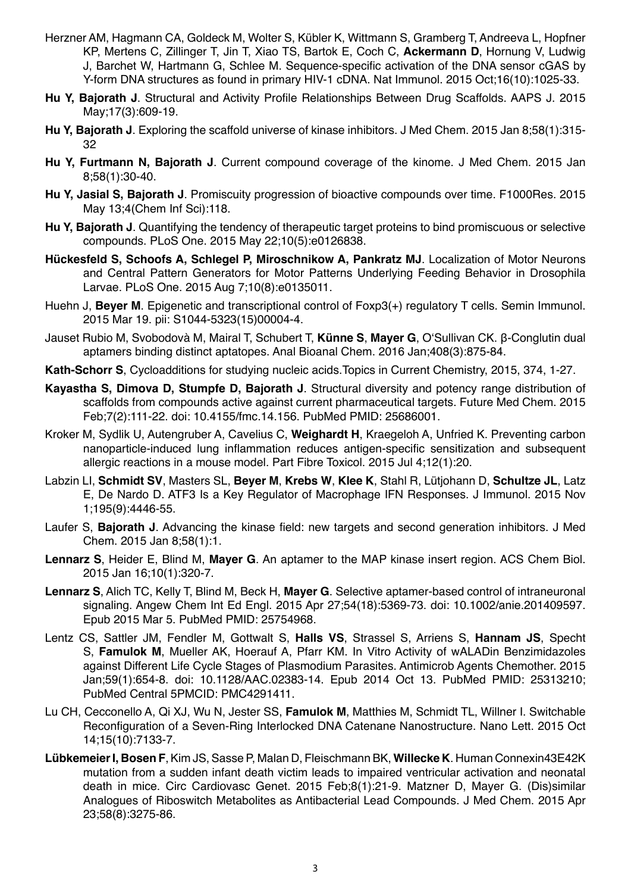- Herzner AM, Hagmann CA, Goldeck M, Wolter S, Kübler K, Wittmann S, Gramberg T, Andreeva L, Hopfner KP, Mertens C, Zillinger T, Jin T, Xiao TS, Bartok E, Coch C, **Ackermann D**, Hornung V, Ludwig J, Barchet W, Hartmann G, Schlee M. Sequence-specific activation of the DNA sensor cGAS by Y-form DNA structures as found in primary HIV-1 cDNA. Nat Immunol. 2015 Oct;16(10):1025-33.
- **Hu Y, Bajorath J**. Structural and Activity Profile Relationships Between Drug Scaffolds. AAPS J. 2015 May;17(3):609-19.
- **Hu Y, Bajorath J**. Exploring the scaffold universe of kinase inhibitors. J Med Chem. 2015 Jan 8;58(1):315- 32
- **Hu Y, Furtmann N, Bajorath J**. Current compound coverage of the kinome. J Med Chem. 2015 Jan 8;58(1):30-40.
- **Hu Y, Jasial S, Bajorath J**. Promiscuity progression of bioactive compounds over time. F1000Res. 2015 May 13;4(Chem Inf Sci):118.
- **Hu Y, Bajorath J**. Quantifying the tendency of therapeutic target proteins to bind promiscuous or selective compounds. PLoS One. 2015 May 22;10(5):e0126838.
- **Hückesfeld S, Schoofs A, Schlegel P, Miroschnikow A, Pankratz MJ**. Localization of Motor Neurons and Central Pattern Generators for Motor Patterns Underlying Feeding Behavior in Drosophila Larvae. PLoS One. 2015 Aug 7;10(8):e0135011.
- Huehn J, **Beyer M**. Epigenetic and transcriptional control of Foxp3(+) regulatory T cells. Semin Immunol. 2015 Mar 19. pii: S1044-5323(15)00004-4.
- Jauset Rubio M, Svobodovà M, Mairal T, Schubert T, **Künne S**, **Mayer G**, O'Sullivan CK. β-Conglutin dual aptamers binding distinct aptatopes. Anal Bioanal Chem. 2016 Jan;408(3):875-84.
- **Kath-Schorr S**, Cycloadditions for studying nucleic acids.
Topics in Current Chemistry, 2015, 374, 1-27.
- **Kayastha S, Dimova D, Stumpfe D, Bajorath J**. Structural diversity and potency range distribution of scaffolds from compounds active against current pharmaceutical targets. Future Med Chem. 2015 Feb;7(2):111-22. doi: 10.4155/fmc.14.156. PubMed PMID: 25686001.
- Kroker M, Sydlik U, Autengruber A, Cavelius C, **Weighardt H**, Kraegeloh A, Unfried K. Preventing carbon nanoparticle-induced lung inflammation reduces antigen-specific sensitization and subsequent allergic reactions in a mouse model. Part Fibre Toxicol. 2015 Jul 4;12(1):20.
- Labzin LI, **Schmidt SV**, Masters SL, **Beyer M**, **Krebs W**, **Klee K**, Stahl R, Lütjohann D, **Schultze JL**, Latz E, De Nardo D. ATF3 Is a Key Regulator of Macrophage IFN Responses. J Immunol. 2015 Nov 1;195(9):4446-55.
- Laufer S, **Bajorath J**. Advancing the kinase field: new targets and second generation inhibitors. J Med Chem. 2015 Jan 8;58(1):1.
- **Lennarz S**, Heider E, Blind M, **Mayer G**. An aptamer to the MAP kinase insert region. ACS Chem Biol. 2015 Jan 16;10(1):320-7.
- **Lennarz S**, Alich TC, Kelly T, Blind M, Beck H, **Mayer G**. Selective aptamer-based control of intraneuronal signaling. Angew Chem Int Ed Engl. 2015 Apr 27;54(18):5369-73. doi: 10.1002/anie.201409597. Epub 2015 Mar 5. PubMed PMID: 25754968.
- Lentz CS, Sattler JM, Fendler M, Gottwalt S, **Halls VS**, Strassel S, Arriens S, **Hannam JS**, Specht S, **Famulok M**, Mueller AK, Hoerauf A, Pfarr KM. In Vitro Activity of wALADin Benzimidazoles against Different Life Cycle Stages of Plasmodium Parasites. Antimicrob Agents Chemother. 2015 Jan;59(1):654-8. doi: 10.1128/AAC.02383-14. Epub 2014 Oct 13. PubMed PMID: 25313210; PubMed Central 5PMCID: PMC4291411.
- Lu CH, Cecconello A, Qi XJ, Wu N, Jester SS, **Famulok M**, Matthies M, Schmidt TL, Willner I. Switchable Reconfiguration of a Seven-Ring Interlocked DNA Catenane Nanostructure. Nano Lett. 2015 Oct 14;15(10):7133-7.
- **Lübkemeier I, Bosen F**, Kim JS, Sasse P, Malan D, Fleischmann BK, **Willecke K**. Human Connexin43E42K mutation from a sudden infant death victim leads to impaired ventricular activation and neonatal death in mice. Circ Cardiovasc Genet. 2015 Feb;8(1):21-9. Matzner D, Mayer G. (Dis)similar Analogues of Riboswitch Metabolites as Antibacterial Lead Compounds. J Med Chem. 2015 Apr 23;58(8):3275-86.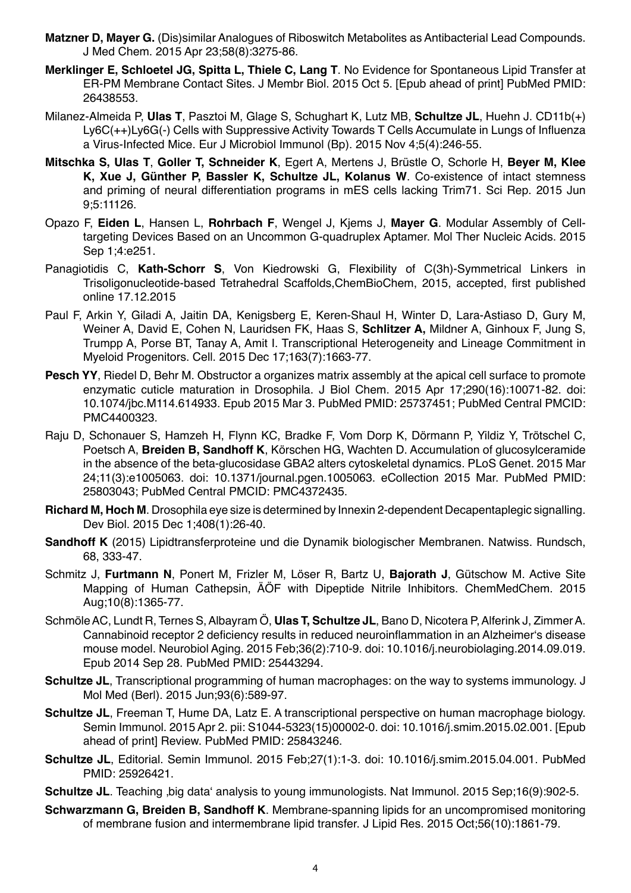- **Matzner D, Mayer G.** (Dis)similar Analogues of Riboswitch Metabolites as Antibacterial Lead Compounds. J Med Chem. 2015 Apr 23;58(8):3275-86.
- **Merklinger E, Schloetel JG, Spitta L, Thiele C, Lang T**. No Evidence for Spontaneous Lipid Transfer at ER-PM Membrane Contact Sites. J Membr Biol. 2015 Oct 5. [Epub ahead of print] PubMed PMID: 26438553.
- Milanez-Almeida P, **Ulas T**, Pasztoi M, Glage S, Schughart K, Lutz MB, **Schultze JL**, Huehn J. CD11b(+) Ly6C(++)Ly6G(-) Cells with Suppressive Activity Towards T Cells Accumulate in Lungs of Influenza a Virus-Infected Mice. Eur J Microbiol Immunol (Bp). 2015 Nov 4;5(4):246-55.
- **Mitschka S, Ulas T**, **Goller T, Schneider K**, Egert A, Mertens J, Brüstle O, Schorle H, **Beyer M, Klee K, Xue J, Günther P, Bassler K, Schultze JL, Kolanus W**. Co-existence of intact stemness and priming of neural differentiation programs in mES cells lacking Trim71. Sci Rep. 2015 Jun 9;5:11126.
- Opazo F, **Eiden L**, Hansen L, **Rohrbach F**, Wengel J, Kjems J, **Mayer G**. Modular Assembly of Celltargeting Devices Based on an Uncommon G-quadruplex Aptamer. Mol Ther Nucleic Acids. 2015 Sep 1;4:e251.
- Panagiotidis C, **Kath-Schorr S**, Von Kiedrowski G, Flexibility of C(3h)-Symmetrical Linkers in Trisoligonucleotide-based Tetrahedral Scaffolds,
ChemBioChem, 2015, accepted, first published online 17.12.2015
- Paul F, Arkin Y, Giladi A, Jaitin DA, Kenigsberg E, Keren-Shaul H, Winter D, Lara-Astiaso D, Gury M, Weiner A, David E, Cohen N, Lauridsen FK, Haas S, **Schlitzer A,** Mildner A, Ginhoux F, Jung S, Trumpp A, Porse BT, Tanay A, Amit I. Transcriptional Heterogeneity and Lineage Commitment in Myeloid Progenitors. Cell. 2015 Dec 17;163(7):1663-77.
- **Pesch YY**, Riedel D, Behr M. Obstructor a organizes matrix assembly at the apical cell surface to promote enzymatic cuticle maturation in Drosophila. J Biol Chem. 2015 Apr 17;290(16):10071-82. doi: 10.1074/jbc.M114.614933. Epub 2015 Mar 3. PubMed PMID: 25737451; PubMed Central PMCID: PMC4400323.
- Raju D, Schonauer S, Hamzeh H, Flynn KC, Bradke F, Vom Dorp K, Dörmann P, Yildiz Y, Trötschel C, Poetsch A, **Breiden B, Sandhoff K**, Körschen HG, Wachten D. Accumulation of glucosylceramide in the absence of the beta-glucosidase GBA2 alters cytoskeletal dynamics. PLoS Genet. 2015 Mar 24;11(3):e1005063. doi: 10.1371/journal.pgen.1005063. eCollection 2015 Mar. PubMed PMID: 25803043; PubMed Central PMCID: PMC4372435.
- **Richard M, Hoch M**. Drosophila eye size is determined by Innexin 2-dependent Decapentaplegic signalling. Dev Biol. 2015 Dec 1;408(1):26-40.
- **Sandhoff K** (2015) Lipidtransferproteine und die Dynamik biologischer Membranen. Natwiss. Rundsch, 68, 333-47.
- Schmitz J, **Furtmann N**, Ponert M, Frizler M, Löser R, Bartz U, **Bajorath J**, Gütschow M. Active Site Mapping of Human Cathepsin, ÄÖF with Dipeptide Nitrile Inhibitors. ChemMedChem. 2015 Aug;10(8):1365-77.
- Schmöle AC, Lundt R, Ternes S, Albayram Ö, **Ulas T, Schultze JL**, Bano D, Nicotera P, Alferink J, Zimmer A. Cannabinoid receptor 2 deficiency results in reduced neuroinflammation in an Alzheimer's disease mouse model. Neurobiol Aging. 2015 Feb;36(2):710-9. doi: 10.1016/j.neurobiolaging.2014.09.019. Epub 2014 Sep 28. PubMed PMID: 25443294.
- **Schultze JL**, Transcriptional programming of human macrophages: on the way to systems immunology. J Mol Med (Berl). 2015 Jun;93(6):589-97.
- **Schultze JL**, Freeman T, Hume DA, Latz E. A transcriptional perspective on human macrophage biology. Semin Immunol. 2015 Apr 2. pii: S1044-5323(15)00002-0. doi: 10.1016/j.smim.2015.02.001. [Epub ahead of print] Review. PubMed PMID: 25843246.
- **Schultze JL**, Editorial. Semin Immunol. 2015 Feb;27(1):1-3. doi: 10.1016/j.smim.2015.04.001. PubMed PMID: 25926421.
- **Schultze JL**. Teaching , big data' analysis to young immunologists. Nat Immunol. 2015 Sep;16(9):902-5.
- **Schwarzmann G, Breiden B, Sandhoff K**. Membrane-spanning lipids for an uncompromised monitoring of membrane fusion and intermembrane lipid transfer. J Lipid Res. 2015 Oct;56(10):1861-79.